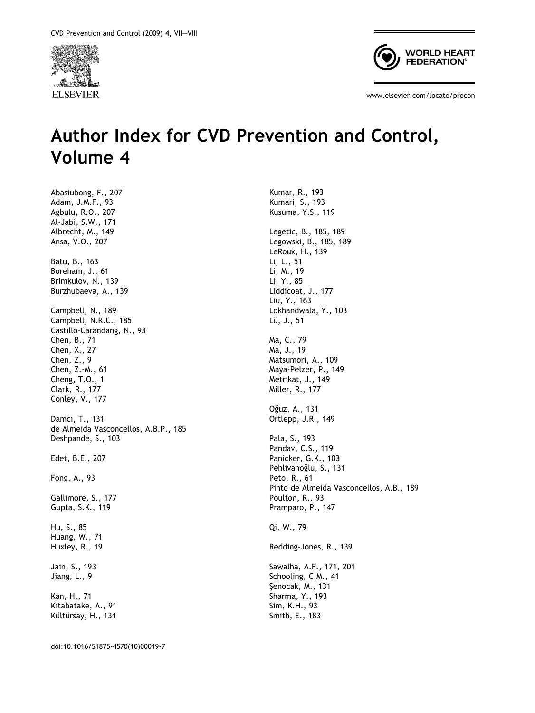



www.elsevier.com/locate/precon

## Author Index for CVD Prevention and Control, Volume 4

Kumar, R., 193

Abasiubong, F., 207 Adam, J.M.F., 93 Agbulu, R.O., 207 Al-Jabi, S.W., 171 Albrecht, M., 149 Ansa, V.O., 207 Batu, B., 163 Boreham, J., 61 Brimkulov, N., 139 Burzhubaeva, A., 139 Campbell, N., 189 Campbell, N.R.C., 185 Castillo-Carandang, N., 93 Chen, B., 71 Chen, X., 27 Chen, Z., 9 Chen, Z.-M., 61 Cheng, T.O., 1 Clark, R., 177 Conley, V., 177 Damcı, T., 131 de Almeida Vasconcellos, A.B.P., 185 Deshpande, S., 103 Edet, B.E., 207 Fong, A., 93 Gallimore, S., 177 Gupta, S.K., 119 Hu, S., 85 Huang, W., 71 Huxley, R., 19 Jain, S., 193 Jiang, L., 9 Kan, H., 71 Kitabatake, A., 91 Kültürsay, H., 131

Kumari, S., 193 Kusuma, Y.S., 119 Legetic, B., 185, 189 Legowski, B., 185, 189 LeRoux, H., 139 Li, L., 51 Li, M., 19 Li, Y., 85 Liddicoat, J., 177 Liu, Y., 163 Lokhandwala, Y., 103 Lü, J., 51 Ma, C., 79 Ma, J., 19 Matsumori, A., 109 Maya-Pelzer, P., 149 Metrikat, J., 149 Miller, R., 177 Oğuz, A., 131 Ortlepp, J.R., 149 Pala, S., 193 Pandav, C.S., 119 Panicker, G.K., 103 Pehlivanoğlu, S., 131 Peto, R., 61 Pinto de Almeida Vasconcellos, A.B., 189 Poulton, R., 93 Pramparo, P., 147 Qi, W., 79 Redding-Jones, R., 139 Sawalha, A.F., 171, 201 Schooling, C.M., 41 Şenocak, M., 131 Sharma, Y., 193 Sim, K.H., 93 Smith, E., 183